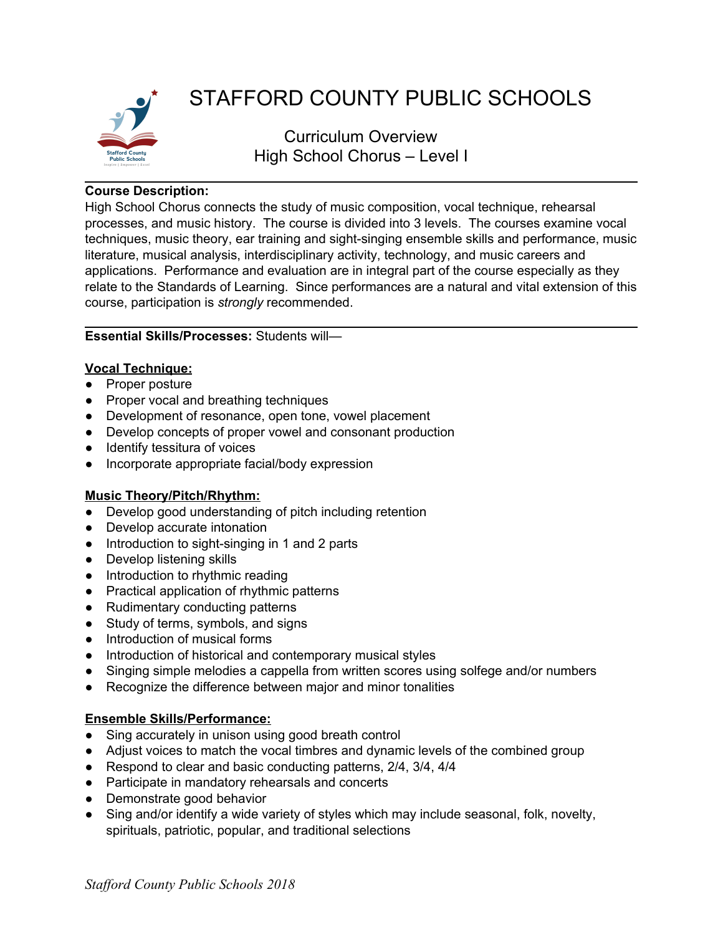

# STAFFORD COUNTY PUBLIC SCHOOLS

Curriculum Overview High School Chorus – Level I

## **Course Description:**

High School Chorus connects the study of music composition, vocal technique, rehearsal processes, and music history. The course is divided into 3 levels. The courses examine vocal techniques, music theory, ear training and sight-singing ensemble skills and performance, music literature, musical analysis, interdisciplinary activity, technology, and music careers and applications. Performance and evaluation are in integral part of the course especially as they relate to the Standards of Learning. Since performances are a natural and vital extension of this course, participation is *strongly* recommended.

# **Essential Skills/Processes:** Students will—

#### **Vocal Technique:**

- Proper posture
- Proper vocal and breathing techniques
- Development of resonance, open tone, vowel placement
- Develop concepts of proper vowel and consonant production
- Identify tessitura of voices
- Incorporate appropriate facial/body expression

# **Music Theory/Pitch/Rhythm:**

- Develop good understanding of pitch including retention
- Develop accurate intonation
- Introduction to sight-singing in 1 and 2 parts
- Develop listening skills
- Introduction to rhythmic reading
- Practical application of rhythmic patterns
- Rudimentary conducting patterns
- Study of terms, symbols, and signs
- Introduction of musical forms
- Introduction of historical and contemporary musical styles
- Singing simple melodies a cappella from written scores using solfege and/or numbers
- Recognize the difference between major and minor tonalities

#### **Ensemble Skills/Performance:**

- Sing accurately in unison using good breath control
- Adjust voices to match the vocal timbres and dynamic levels of the combined group
- Respond to clear and basic conducting patterns, 2/4, 3/4, 4/4
- Participate in mandatory rehearsals and concerts
- Demonstrate good behavior
- Sing and/or identify a wide variety of styles which may include seasonal, folk, novelty, spirituals, patriotic, popular, and traditional selections